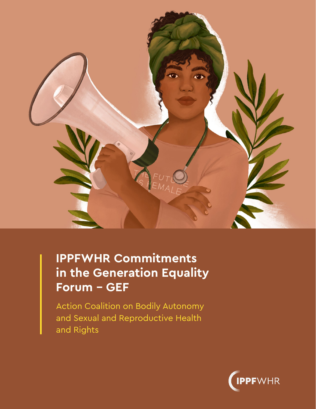

# **IPPFWHR Commitments in the Generation Equality Forum – GEF**

Action Coalition on Bodily Autonomy and Sexual and Reproductive Health and Rights

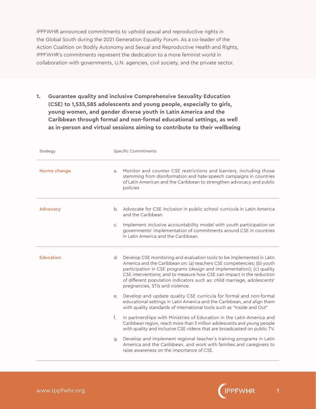IPPFWHR announced commitments to uphold sexual and reproductive rights in the Global South during the 2021 Generation Equality Forum. As a co-leader of the Action Coalition on Bodily Autonomy and Sexual and Reproductive Health and Rights, IPPFWHR's commitments represent the dedication to a more feminist world in collaboration with governments, U.N. agencies, civil society, and the private sector.

**1. Guarantee quality and inclusive Comprehensive Sexuality Education (CSE) to 1,535,585 adolescents and young people, especially to girls, young women, and gender diverse youth in Latin America and the Caribbean through formal and non-formal educational settings, as well as in-person and virtual sessions aiming to contribute to their wellbeing**

| Strategy         |                | Specific Commitments                                                                                                                                                                                                                                                                                                                                                                                               |
|------------------|----------------|--------------------------------------------------------------------------------------------------------------------------------------------------------------------------------------------------------------------------------------------------------------------------------------------------------------------------------------------------------------------------------------------------------------------|
| Norms change     | a.             | Monitor and counter CSE restrictions and barriers, including those<br>stemming from disinformation and hate-speech campaigns in countries<br>of Latin American and the Caribbean to strengthen advocacy and public<br>policies                                                                                                                                                                                     |
| Advocacy         | b.             | Advocate for CSE inclusion in public school curricula in Latin America<br>and the Caribbean                                                                                                                                                                                                                                                                                                                        |
|                  | C <sub>1</sub> | Implement inclusive accountability model with youth participation on<br>governments' implementation of commitments around CSE in countries<br>in Latin America and the Caribbean.                                                                                                                                                                                                                                  |
| <b>Education</b> | d.             | Develop CSE monitoring and evaluation tools to be implemented in Latin<br>America and the Caribbean on: (a) teachers CSE competencies; (b) youth<br>participation in CSE programs (design and implementation); (c) quality<br>CSE interventions; and to measure how CSE can impact in the reduction<br>of different population indicators such as: child marriage, adolescents'<br>pregnancies, STIs and violence. |
|                  | е.             | Develop and update quality CSE curricula for formal and non-formal<br>educational settings in Latin America and the Caribbean, and align them<br>with quality standards of international tools such as "Inside and Out"                                                                                                                                                                                            |
|                  | f.             | In partnerships with Ministries of Education in the Latin America and<br>Caribbean region, reach more than 3 million adolescents and young people<br>with quality and inclusive CSE videos that are broadcasted on public TV.                                                                                                                                                                                      |
|                  | g.             | Develop and implement regional teacher's training programs in Latin<br>America and the Caribbean, and work with families and caregivers to<br>raise awareness on the importance of CSE.                                                                                                                                                                                                                            |

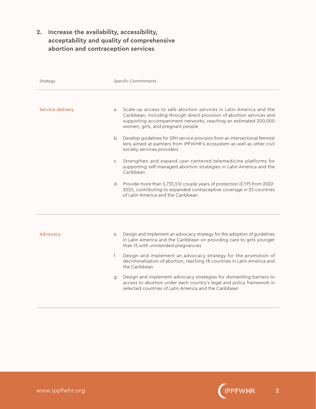## **2. Increase the availability, accessibility, acceptability and quality of comprehensive abortion and contraception services**

| Strategy         |    | Specific Commitments                                                                                                                                                                                                                                  |
|------------------|----|-------------------------------------------------------------------------------------------------------------------------------------------------------------------------------------------------------------------------------------------------------|
|                  |    |                                                                                                                                                                                                                                                       |
| Service delivery | a. | Scale-up access to safe abortion services in Latin America and the<br>Caribbean, including through direct provision of abortion services and<br>supporting accompaniment networks, reaching an estimated 200,000<br>women, girls, and pregnant people |
|                  | b. | Develop guidelines for SRH service provision from an intersectional feminist<br>lens aimed at partners from IPPWHR's ecosystem as well as other civil<br>society services providers                                                                   |
|                  | C. | Strengthen and expand user-centered telemedicine platforms for<br>supporting self-managed abortion strategies in Latin America and the<br>Caribbean                                                                                                   |
|                  | d. | Provide more than 5,735,512 couple years of protection (CYP) from 2022-<br>2025, contributing to expanded contraceptive coverage in 25 countries<br>of Latin America and the Caribbean                                                                |
|                  |    |                                                                                                                                                                                                                                                       |
| Advocacy         | е. | Design and implement an advocacy strategy for the adoption of guidelines<br>in Latin America and the Caribbean on providing care to girls younger<br>than 15 with unintended pregnancies                                                              |
|                  | f. | Design and implement an advocacy strategy for the promotion of<br>decriminalization of abortion, reaching 18 countries in Latin America and<br>the Caribbean                                                                                          |
|                  | g. | Design and implement advocacy strategies for dismantling barriers to<br>access to abortion under each country's legal and policy framework in<br>selected countries of Latin America and the Caribbean                                                |

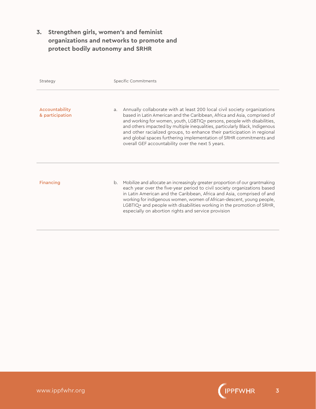## **3. Strengthen girls, women's and feminist organizations and networks to promote and protect bodily autonomy and SRHR**

| Strategy                          | Specific Commitments                                                                                                                                                                                                                                                                                                                                                                                                                                                                                                                      |
|-----------------------------------|-------------------------------------------------------------------------------------------------------------------------------------------------------------------------------------------------------------------------------------------------------------------------------------------------------------------------------------------------------------------------------------------------------------------------------------------------------------------------------------------------------------------------------------------|
| Accountability<br>& participation | Annually collaborate with at least 200 local civil society organizations<br>a <sub>z</sub><br>based in Latin American and the Caribbean, Africa and Asia, comprised of<br>and working for women, youth, LGBTIQ+ persons, people with disabilities,<br>and others impacted by multiple inequalities, particularly Black, Indigenous<br>and other racialized groups, to enhance their participation in regional<br>and global spaces furthering implementation of SRHR commitments and<br>overall GEF accountability over the next 5 years. |
| <b>Financing</b>                  | Mobilize and allocate an increasingly greater proportion of our grantmaking<br>b.<br>each year over the five-year period to civil society organizations based<br>in Latin American and the Caribbean, Africa and Asia, comprised of and<br>working for indigenous women, women of African-descent, young people,<br>LGBTIQ+ and people with disabilities working in the promotion of SRHR,<br>especially on abortion rights and service provision                                                                                         |

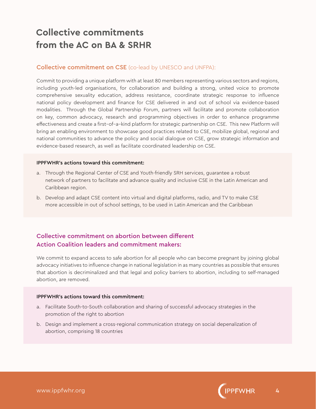## **Collective commitments from the AC on BA & SRHR**

#### Collective commitment on CSE (co-lead by UNESCO and UNFPA):

Commit to providing a unique platform with at least 80 members representing various sectors and regions, including youth-led organisations, for collaboration and building a strong, united voice to promote comprehensive sexuality education, address resistance, coordinate strategic response to influence national policy development and finance for CSE delivered in and out of school via evidence-based modalities. Through the Global Partnership Forum, partners will facilitate and promote collaboration on key, common advocacy, research and programming objectives in order to enhance programme effectiveness and create a first–of–a–kind platform for strategic partnership on CSE. This new Platform will bring an enabling environment to showcase good practices related to CSE, mobilize global, regional and national communities to advance the policy and social dialogue on CSE, grow strategic information and evidence-based research, as well as facilitate coordinated leadership on CSE.

#### IPPFWHR's actions toward this commitment:

- a. Through the Regional Center of CSE and Youth-friendly SRH services, guarantee a robust network of partners to facilitate and advance quality and inclusive CSE in the Latin American and Caribbean region.
- b. Develop and adapt CSE content into virtual and digital platforms, radio, and TV to make CSE more accessible in out of school settings, to be used in Latin American and the Caribbean

### Collective commitment on abortion between different Action Coalition leaders and commitment makers:

We commit to expand access to safe abortion for all people who can become pregnant by joining global advocacy initiatives to influence change in national legislation in as many countries as possible that ensures that abortion is decriminalized and that legal and policy barriers to abortion, including to self-managed abortion, are removed.

#### IPPFWHR's actions toward this commitment:

- a. Facilitate South-to-South collaboration and sharing of successful advocacy strategies in the promotion of the right to abortion
- b. Design and implement a cross-regional communication strategy on social depenalization of abortion, comprising 18 countries